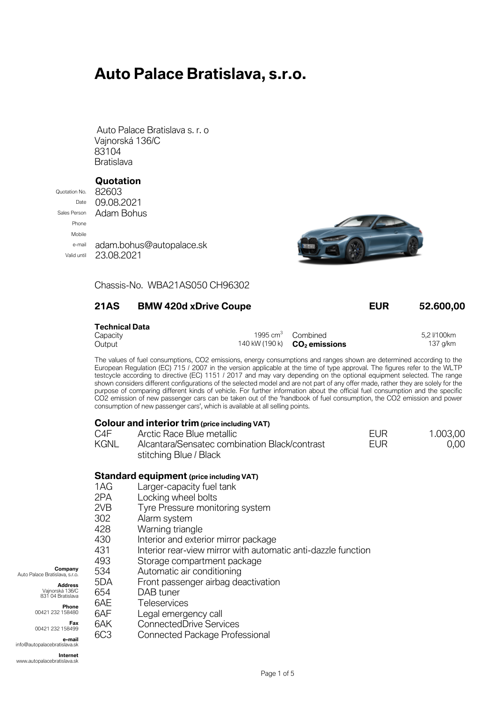# **Auto Palace Bratislava, s.r.o.**

Auto Palace Bratislava s. r. o Vajnorská 136/C 83104 **Bratislava** 

### **Quotation**

Quotation No. 82603 Phone Mobile

Date 09,08,2021 Sales Person **Adam Bohus** e-mail adam.bohus@autopalace.sk Valid until 23.08.2021



Chassis-No. WBA21AS050 CH96302

### **21AS BMW 420d xDrive Coupe EUR 52.600,00**

## **Technical Data**

| TCUIIIIUAI DALA |                                                |             |
|-----------------|------------------------------------------------|-------------|
| Capacity        | 1995 $cm3$ Combined                            | 5.2 I/100km |
| Output          | 140 kW (190 k) <b>CO<sub>2</sub> emissions</b> | 137 g/km    |

The values of fuel consumptions, CO2 emissions, energy consumptions and ranges shown are determined according to the European Regulation (EC) 715 / 2007 in the version applicable at the time of type approval. The figures refer to the WLTP testcycle according to directive (EC) 1151 / 2017 and may vary depending on the optional equipment selected. The range shown considers different configurations of the selected model and are not part of any offer made, rather they are solely for the purpose of comparing different kinds of vehicle. For further information about the official fuel consumption and the specific CO2 emission of new passenger cars can be taken out of the 'handbook of fuel consumption, the CO2 emission and power consumption of new passenger cars', which is available at all selling points.

| <b>Colour and interior trim (price including VAT)</b> |                                                                         |      |          |
|-------------------------------------------------------|-------------------------------------------------------------------------|------|----------|
| C4F                                                   | Arctic Race Blue metallic                                               | FUR. | 1.003,00 |
| KGNL                                                  | Alcantara/Sensatec combination Black/contrast<br>stitching Blue / Black | FUR  | 0,00     |

#### **Standard equipment (price including VAT)**

- 1AG Larger-capacity fuel tank
- 2PA Locking wheel bolts
- 2VB Tyre Pressure monitoring system
- 302 Alarm system
- 428 Warning triangle
- 430 Interior and exterior mirror package
- 431 Interior rear-view mirror with automatic anti-dazzle function
- 493 Storage compartment package
- 534 Automatic air conditioning

5DA Front passenger airbag deactivation

Legal emergency call 6AK ConnectedDrive Services

6C3 Connected Package Professional

654 DAB tuner

Vajnorská 136/C 831 04 Bratislava 6AE Teleservices<br>6AF Leaal emerge

**Phone** 00421 232 158480

**Address**<br>*Najporeká* 136/C

**Company**

**Fax** 00421 232 158499

Auto Palace Bratislava, s.r.o.

**e-mail** info@autopalacebratislava.sk

**Internet** www.autopalacebratislava.sk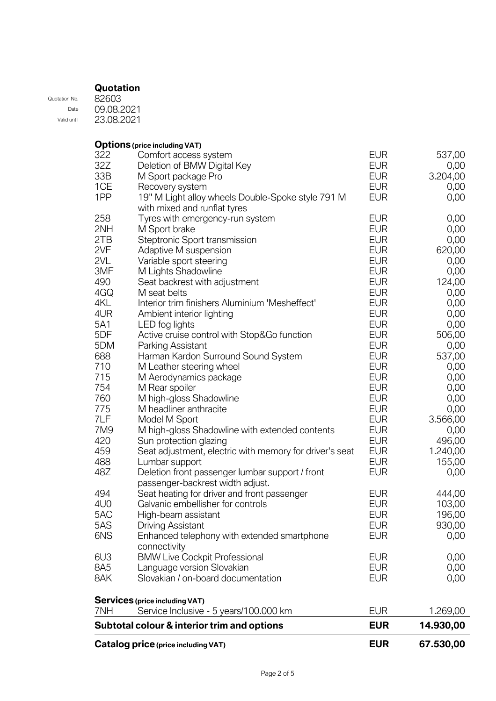Quotation No. Date Valid until 82603 09.08.2021 23.08.2021

**Options (price including VAT)**

|            | Catalog price (price including VAT)                     | <b>EUR</b> | 67.530,00    |
|------------|---------------------------------------------------------|------------|--------------|
|            | Subtotal colour & interior trim and options             | <b>EUR</b> | 14.930,00    |
| 7NH        | Service Inclusive - 5 years/100.000 km                  | <b>EUR</b> | 1.269,00     |
|            | <b>Services</b> (price including VAT)                   |            |              |
| 8AK        | Slovakian / on-board documentation                      | <b>EUR</b> | 0,00         |
| 8A5        | Language version Slovakian                              | <b>EUR</b> | 0,00         |
| 6U3        | <b>BMW Live Cockpit Professional</b>                    | <b>EUR</b> | 0,00         |
|            | connectivity                                            |            |              |
| 6NS        | Enhanced telephony with extended smartphone             | <b>EUR</b> | 0,00         |
| 5AS        | <b>Driving Assistant</b>                                | <b>EUR</b> | 930,00       |
| 5AC        | High-beam assistant                                     | <b>EUR</b> | 196,00       |
| 4U0        | Galvanic embellisher for controls                       | <b>EUR</b> | 103,00       |
| 494        | Seat heating for driver and front passenger             | <b>EUR</b> | 444,00       |
|            | passenger-backrest width adjust.                        |            |              |
| 48Z        | Deletion front passenger lumbar support / front         | <b>EUR</b> | 0,00         |
| 488        | Lumbar support                                          | <b>EUR</b> | 155,00       |
| 459        | Seat adjustment, electric with memory for driver's seat | <b>EUR</b> | 1.240,00     |
| 420        | Sun protection glazing                                  | <b>EUR</b> | 496,00       |
| 7M9        | M high-gloss Shadowline with extended contents          | <b>EUR</b> | 0,00         |
| 7LF        | Model M Sport                                           | <b>EUR</b> | 3.566,00     |
| 775        | M headliner anthracite                                  | <b>EUR</b> | 0,00         |
| 760        | M high-gloss Shadowline                                 | <b>EUR</b> | 0,00         |
| 754        | M Rear spoiler                                          | <b>EUR</b> | 0,00         |
| 715        | M Aerodynamics package                                  | <b>EUR</b> | 0,00         |
| 710        | M Leather steering wheel                                | <b>EUR</b> | 0,00         |
| 688        | Harman Kardon Surround Sound System                     | <b>EUR</b> | 537,00       |
| 5DM        | Parking Assistant                                       | <b>EUR</b> | 0,00         |
| 5DF        | Active cruise control with Stop&Go function             | <b>EUR</b> | 506,00       |
| 5A1        | LED fog lights                                          | <b>EUR</b> | 0,00         |
| 4UR        | Ambient interior lighting                               | <b>EUR</b> | 0,00         |
| 4KL        | Interior trim finishers Aluminium 'Mesheffect'          | <b>EUR</b> | 0,00         |
| 4GQ        | M seat belts                                            | <b>EUR</b> | 0,00         |
| 490        | Seat backrest with adjustment                           | <b>EUR</b> | 124,00       |
| 3MF        | Variable sport steering<br>M Lights Shadowline          | <b>EUR</b> | 0,00         |
| 2VL        |                                                         | <b>EUR</b> | 0,00         |
| 2VF        | Steptronic Sport transmission<br>Adaptive M suspension  | <b>EUR</b> | 620,00       |
| 2TB        | M Sport brake                                           | <b>EUR</b> | 0,00<br>0,00 |
| 258<br>2NH | Tyres with emergency-run system                         | <b>EUR</b> | 0,00         |
|            | with mixed and runflat tyres                            | <b>EUR</b> |              |
| 1PP        | 19" M Light alloy wheels Double-Spoke style 791 M       | <b>EUR</b> | 0,00         |
| 1CE        | Recovery system                                         | <b>EUR</b> | 0,00         |
| 33B        | M Sport package Pro                                     | <b>EUR</b> | 3.204,00     |
| 32Z        | Deletion of BMW Digital Key                             | <b>EUR</b> | 0,00         |
| 322        | Comfort access system                                   | <b>EUR</b> | 537,00       |
|            |                                                         |            |              |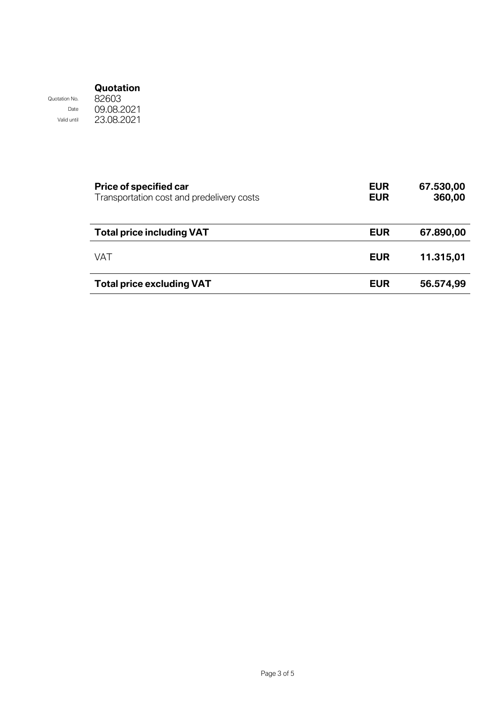Date Valid until

Quotation No.

09.08.2021 23.08.2021

| <b>Price of specified car</b><br>Transportation cost and predelivery costs | <b>EUR</b><br><b>EUR</b> | 67.530,00<br>360,00 |
|----------------------------------------------------------------------------|--------------------------|---------------------|
| <b>Total price including VAT</b>                                           | <b>EUR</b>               | 67.890,00           |
| VAT                                                                        | <b>EUR</b>               | 11.315,01           |
| <b>Total price excluding VAT</b>                                           | <b>EUR</b>               | 56.574,99           |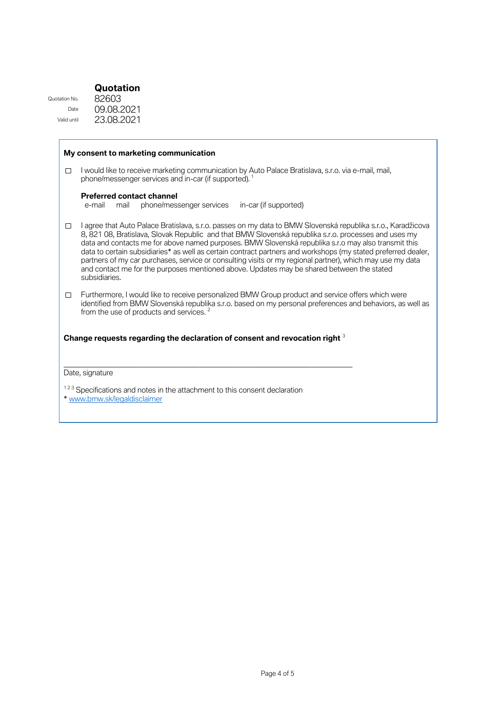Quotation No. Date Valid until

T

09.08.2021 23.08.2021

|        | My consent to marketing communication                                                                                                                                                                                                                                                                                                                                                                                                                                                                                                                                                                                                                                   |
|--------|-------------------------------------------------------------------------------------------------------------------------------------------------------------------------------------------------------------------------------------------------------------------------------------------------------------------------------------------------------------------------------------------------------------------------------------------------------------------------------------------------------------------------------------------------------------------------------------------------------------------------------------------------------------------------|
| П      | I would like to receive marketing communication by Auto Palace Bratislava, s.r.o. via e-mail, mail,<br>phone/messenger services and in-car (if supported). <sup>1</sup>                                                                                                                                                                                                                                                                                                                                                                                                                                                                                                 |
|        | <b>Preferred contact channel</b><br>phone/messenger services<br>in-car (if supported)<br>mail<br>e-mail                                                                                                                                                                                                                                                                                                                                                                                                                                                                                                                                                                 |
| □      | I agree that Auto Palace Bratislava, s.r.o. passes on my data to BMW Slovenská republika s.r.o., Karadžicova<br>8, 821 08, Bratislava, Slovak Republic and that BMW Slovenská republika s.r.o. processes and uses my<br>data and contacts me for above named purposes. BMW Slovenská republika s.r.o may also transmit this<br>data to certain subsidiaries* as well as certain contract partners and workshops (my stated preferred dealer,<br>partners of my car purchases, service or consulting visits or my regional partner), which may use my data<br>and contact me for the purposes mentioned above. Updates may be shared between the stated<br>subsidiaries. |
| $\Box$ | Furthermore, I would like to receive personalized BMW Group product and service offers which were<br>identified from BMW Slovenská republika s.r.o. based on my personal preferences and behaviors, as well as<br>from the use of products and services. <sup>2</sup>                                                                                                                                                                                                                                                                                                                                                                                                   |
|        | Change requests regarding the declaration of consent and revocation right 3                                                                                                                                                                                                                                                                                                                                                                                                                                                                                                                                                                                             |
|        | Date, signature                                                                                                                                                                                                                                                                                                                                                                                                                                                                                                                                                                                                                                                         |
|        | <sup>123</sup> Specifications and notes in the attachment to this consent declaration<br>* www.bmw.sk/legaldisclaimer                                                                                                                                                                                                                                                                                                                                                                                                                                                                                                                                                   |